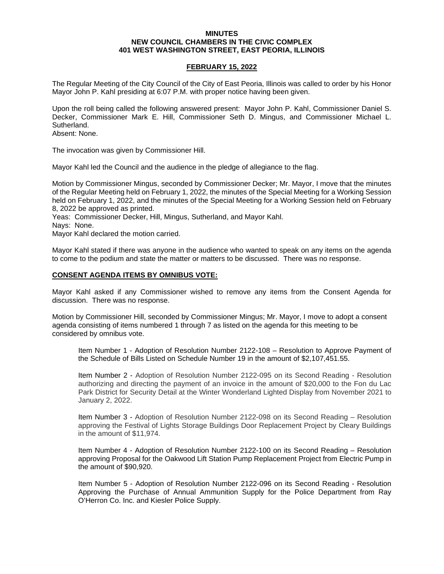## **MINUTES NEW COUNCIL CHAMBERS IN THE CIVIC COMPLEX 401 WEST WASHINGTON STREET, EAST PEORIA, ILLINOIS**

## **FEBRUARY 15, 2022**

The Regular Meeting of the City Council of the City of East Peoria, Illinois was called to order by his Honor Mayor John P. Kahl presiding at 6:07 P.M. with proper notice having been given.

Upon the roll being called the following answered present: Mayor John P. Kahl, Commissioner Daniel S. Decker, Commissioner Mark E. Hill, Commissioner Seth D. Mingus, and Commissioner Michael L. Sutherland.

Absent: None.

The invocation was given by Commissioner Hill.

Mayor Kahl led the Council and the audience in the pledge of allegiance to the flag.

Motion by Commissioner Mingus, seconded by Commissioner Decker; Mr. Mayor, I move that the minutes of the Regular Meeting held on February 1, 2022, the minutes of the Special Meeting for a Working Session held on February 1, 2022, and the minutes of the Special Meeting for a Working Session held on February 8, 2022 be approved as printed.

Yeas: Commissioner Decker, Hill, Mingus, Sutherland, and Mayor Kahl.

Nays: None.

Mayor Kahl declared the motion carried.

Mayor Kahl stated if there was anyone in the audience who wanted to speak on any items on the agenda to come to the podium and state the matter or matters to be discussed. There was no response.

## **CONSENT AGENDA ITEMS BY OMNIBUS VOTE:**

Mayor Kahl asked if any Commissioner wished to remove any items from the Consent Agenda for discussion. There was no response.

Motion by Commissioner Hill, seconded by Commissioner Mingus; Mr. Mayor, I move to adopt a consent agenda consisting of items numbered 1 through 7 as listed on the agenda for this meeting to be considered by omnibus vote.

Item Number 1 - Adoption of Resolution Number 2122-108 – Resolution to Approve Payment of the Schedule of Bills Listed on Schedule Number 19 in the amount of \$2,107,451.55.

Item Number 2 - Adoption of Resolution Number 2122-095 on its Second Reading - Resolution authorizing and directing the payment of an invoice in the amount of \$20,000 to the Fon du Lac Park District for Security Detail at the Winter Wonderland Lighted Display from November 2021 to January 2, 2022.

Item Number 3 - Adoption of Resolution Number 2122-098 on its Second Reading – Resolution approving the Festival of Lights Storage Buildings Door Replacement Project by Cleary Buildings in the amount of \$11,974.

Item Number 4 - Adoption of Resolution Number 2122-100 on its Second Reading – Resolution approving Proposal for the Oakwood Lift Station Pump Replacement Project from Electric Pump in the amount of \$90,920.

Item Number 5 - Adoption of Resolution Number 2122-096 on its Second Reading - Resolution Approving the Purchase of Annual Ammunition Supply for the Police Department from Ray O'Herron Co. Inc. and Kiesler Police Supply.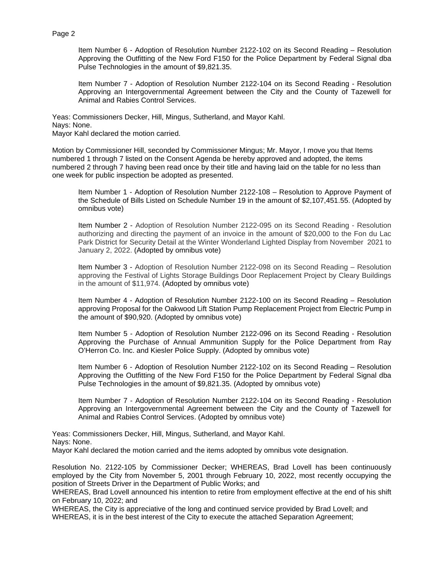Item Number 6 - Adoption of Resolution Number 2122-102 on its Second Reading – Resolution Approving the Outfitting of the New Ford F150 for the Police Department by Federal Signal dba Pulse Technologies in the amount of \$9,821.35.

Item Number 7 - Adoption of Resolution Number 2122-104 on its Second Reading - Resolution Approving an Intergovernmental Agreement between the City and the County of Tazewell for Animal and Rabies Control Services.

Yeas: Commissioners Decker, Hill, Mingus, Sutherland, and Mayor Kahl. Nays: None. Mayor Kahl declared the motion carried.

Motion by Commissioner Hill, seconded by Commissioner Mingus; Mr. Mayor, I move you that Items numbered 1 through 7 listed on the Consent Agenda be hereby approved and adopted, the items numbered 2 through 7 having been read once by their title and having laid on the table for no less than one week for public inspection be adopted as presented.

Item Number 1 - Adoption of Resolution Number 2122-108 – Resolution to Approve Payment of the Schedule of Bills Listed on Schedule Number 19 in the amount of \$2,107,451.55. (Adopted by omnibus vote)

Item Number 2 - Adoption of Resolution Number 2122-095 on its Second Reading - Resolution authorizing and directing the payment of an invoice in the amount of \$20,000 to the Fon du Lac Park District for Security Detail at the Winter Wonderland Lighted Display from November 2021 to January 2, 2022. (Adopted by omnibus vote)

Item Number 3 - Adoption of Resolution Number 2122-098 on its Second Reading – Resolution approving the Festival of Lights Storage Buildings Door Replacement Project by Cleary Buildings in the amount of \$11,974. (Adopted by omnibus vote)

Item Number 4 - Adoption of Resolution Number 2122-100 on its Second Reading – Resolution approving Proposal for the Oakwood Lift Station Pump Replacement Project from Electric Pump in the amount of \$90,920. (Adopted by omnibus vote)

Item Number 5 - Adoption of Resolution Number 2122-096 on its Second Reading - Resolution Approving the Purchase of Annual Ammunition Supply for the Police Department from Ray O'Herron Co. Inc. and Kiesler Police Supply. (Adopted by omnibus vote)

Item Number 6 - Adoption of Resolution Number 2122-102 on its Second Reading – Resolution Approving the Outfitting of the New Ford F150 for the Police Department by Federal Signal dba Pulse Technologies in the amount of \$9,821.35. (Adopted by omnibus vote)

Item Number 7 - Adoption of Resolution Number 2122-104 on its Second Reading - Resolution Approving an Intergovernmental Agreement between the City and the County of Tazewell for Animal and Rabies Control Services. (Adopted by omnibus vote)

Yeas: Commissioners Decker, Hill, Mingus, Sutherland, and Mayor Kahl. Nays: None. Mayor Kahl declared the motion carried and the items adopted by omnibus vote designation.

Resolution No. 2122-105 by Commissioner Decker; WHEREAS, Brad Lovell has been continuously employed by the City from November 5, 2001 through February 10, 2022, most recently occupying the position of Streets Driver in the Department of Public Works; and

WHEREAS, Brad Lovell announced his intention to retire from employment effective at the end of his shift on February 10, 2022; and

WHEREAS, the City is appreciative of the long and continued service provided by Brad Lovell; and WHEREAS, it is in the best interest of the City to execute the attached Separation Agreement;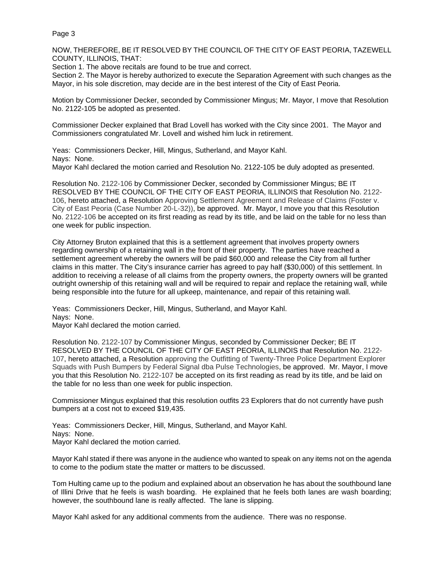Page 3

NOW, THEREFORE, BE IT RESOLVED BY THE COUNCIL OF THE CITY OF EAST PEORIA, TAZEWELL COUNTY, ILLINOIS, THAT:

Section 1. The above recitals are found to be true and correct.

Section 2. The Mayor is hereby authorized to execute the Separation Agreement with such changes as the Mayor, in his sole discretion, may decide are in the best interest of the City of East Peoria.

Motion by Commissioner Decker, seconded by Commissioner Mingus; Mr. Mayor, I move that Resolution No. 2122-105 be adopted as presented.

Commissioner Decker explained that Brad Lovell has worked with the City since 2001. The Mayor and Commissioners congratulated Mr. Lovell and wished him luck in retirement.

Yeas: Commissioners Decker, Hill, Mingus, Sutherland, and Mayor Kahl. Nays: None. Mayor Kahl declared the motion carried and Resolution No. 2122-105 be duly adopted as presented.

Resolution No. 2122-106 by Commissioner Decker, seconded by Commissioner Mingus; BE IT RESOLVED BY THE COUNCIL OF THE CITY OF EAST PEORIA, ILLINOIS that Resolution No. 2122- 106, hereto attached, a Resolution Approving Settlement Agreement and Release of Claims (Foster v. City of East Peoria (Case Number 20-L-32)), be approved. Mr. Mayor, I move you that this Resolution No. 2122-106 be accepted on its first reading as read by its title, and be laid on the table for no less than one week for public inspection.

City Attorney Bruton explained that this is a settlement agreement that involves property owners regarding ownership of a retaining wall in the front of their property. The parties have reached a settlement agreement whereby the owners will be paid \$60,000 and release the City from all further claims in this matter. The City's insurance carrier has agreed to pay half (\$30,000) of this settlement. In addition to receiving a release of all claims from the property owners, the property owners will be granted outright ownership of this retaining wall and will be required to repair and replace the retaining wall, while being responsible into the future for all upkeep, maintenance, and repair of this retaining wall.

Yeas: Commissioners Decker, Hill, Mingus, Sutherland, and Mayor Kahl. Nays: None. Mayor Kahl declared the motion carried.

Resolution No. 2122-107 by Commissioner Mingus, seconded by Commissioner Decker; BE IT RESOLVED BY THE COUNCIL OF THE CITY OF EAST PEORIA, ILLINOIS that Resolution No. 2122- 107, hereto attached, a Resolution approving the Outfitting of Twenty-Three Police Department Explorer Squads with Push Bumpers by Federal Signal dba Pulse Technologies, be approved. Mr. Mayor, I move you that this Resolution No. 2122-107 be accepted on its first reading as read by its title, and be laid on the table for no less than one week for public inspection.

Commissioner Mingus explained that this resolution outfits 23 Explorers that do not currently have push bumpers at a cost not to exceed \$19,435.

Yeas: Commissioners Decker, Hill, Mingus, Sutherland, and Mayor Kahl. Nays: None. Mayor Kahl declared the motion carried.

Mayor Kahl stated if there was anyone in the audience who wanted to speak on any items not on the agenda to come to the podium state the matter or matters to be discussed.

Tom Hulting came up to the podium and explained about an observation he has about the southbound lane of Illini Drive that he feels is wash boarding. He explained that he feels both lanes are wash boarding; however, the southbound lane is really affected. The lane is slipping.

Mayor Kahl asked for any additional comments from the audience. There was no response.